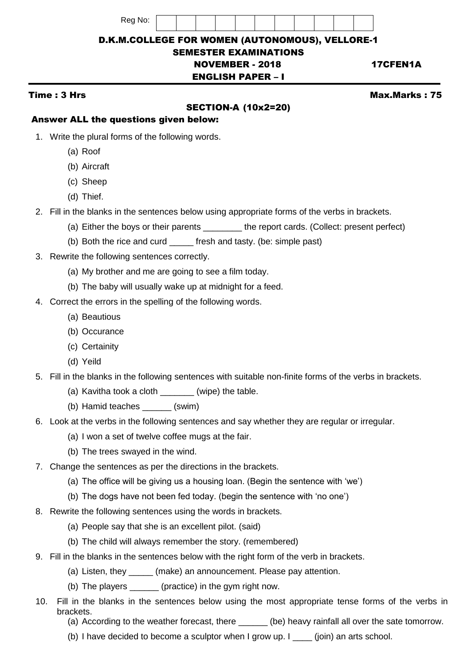| Rea No. |  |
|---------|--|
|---------|--|



# D.K.M.COLLEGE FOR WOMEN (AUTONOMOUS), VELLORE-1

#### SEMESTER EXAMINATIONS NOVEMBER - 2018 17CFEN1A

# ENGLISH PAPER – I

# SECTION-A (10x2=20)

Time : 3 Hrs Max.Marks : 75

#### Answer ALL the questions given below:

- 1. Write the plural forms of the following words.
	- (a) Roof
	- (b) Aircraft
	- (c) Sheep
	- (d) Thief.
- 2. Fill in the blanks in the sentences below using appropriate forms of the verbs in brackets.
	- (a) Either the boys or their parents \_\_\_\_\_\_\_\_ the report cards. (Collect: present perfect)
	- (b) Both the rice and curd fresh and tasty. (be: simple past)
- 3. Rewrite the following sentences correctly.
	- (a) My brother and me are going to see a film today.
	- (b) The baby will usually wake up at midnight for a feed.
- 4. Correct the errors in the spelling of the following words.
	- (a) Beautious
	- (b) Occurance
	- (c) Certainity
	- (d) Yeild
- 5. Fill in the blanks in the following sentences with suitable non-finite forms of the verbs in brackets.
	- (a) Kavitha took a cloth \_\_\_\_\_\_\_(wipe) the table.
	- (b) Hamid teaches \_\_\_\_\_\_ (swim)
- 6. Look at the verbs in the following sentences and say whether they are regular or irregular.
	- (a) I won a set of twelve coffee mugs at the fair.
	- (b) The trees swayed in the wind.
- 7. Change the sentences as per the directions in the brackets.
	- (a) The office will be giving us a housing loan. (Begin the sentence with 'we')
	- (b) The dogs have not been fed today. (begin the sentence with 'no one')
- 8. Rewrite the following sentences using the words in brackets.
	- (a) People say that she is an excellent pilot. (said)
	- (b) The child will always remember the story. (remembered)
- 9. Fill in the blanks in the sentences below with the right form of the verb in brackets.
	- (a) Listen, they \_\_\_\_\_ (make) an announcement. Please pay attention.
	- (b) The players \_\_\_\_\_\_ (practice) in the gym right now.
- 10. Fill in the blanks in the sentences below using the most appropriate tense forms of the verbs in brackets.
	- (a) According to the weather forecast, there \_\_\_\_\_\_ (be) heavy rainfall all over the sate tomorrow.
	- (b) I have decided to become a sculptor when I grow up. I  $\qquad$  (join) an arts school.